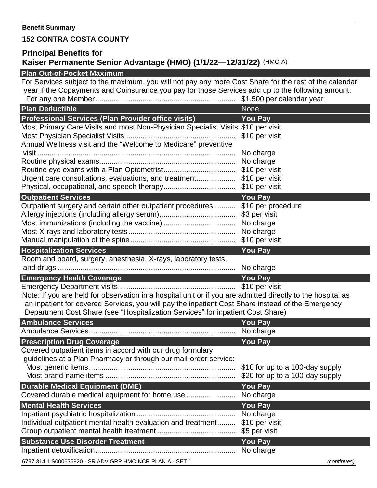## **152 CONTRA COSTA COUNTY**

## **Principal Benefits for Kaiser Permanente Senior Advantage (HMO) (1/1/22—12/31/22)** (HMO A)

## **Plan Out-of-Pocket Maximum**

For Services subject to the maximum, you will not pay any more Cost Share for the rest of the calendar year if the Copayments and Coinsurance you pay for those Services add up to the following amount: For any one Member.................................................................... \$1,500 per calendar year **Plan Deductible** None None **Professional Services (Plan Provider office visits) You Pay** Most Primary Care Visits and most Non-Physician Specialist Visits \$10 per visit Most Physician Specialist Visits ..................................................... \$10 per visit Annual Wellness visit and the "Welcome to Medicare" preventive visit ................................................................................................ No charge Routine physical exams.................................................................. No charge Routine eye exams with a Plan Optometrist................................... \$10 per visit Urgent care consultations, evaluations, and treatment................... \$10 per visit Physical, occupational, and speech therapy................................... \$10 per visit **Outpatient Services** *We are a set of the Court Court Court Court Court Court Court Court Court Court Court Court Court Court Court Court Court Court Court Court Court Court Court Court Court Court Court Court Court Cour* Outpatient surgery and certain other outpatient procedures........... \$10 per procedure Allergy injections (including allergy serum)..................................... \$3 per visit Most immunizations (including the vaccine) ................................... No charge Most X-rays and laboratory tests.................................................... No charge Manual manipulation of the spine................................................... \$10 per visit **Hospitalization Services You Pay** Room and board, surgery, anesthesia, X-rays, laboratory tests, and drugs ...................................................................................... No charge **Emergency Health Coverage You Pay** Emergency Department visits......................................................... \$10 per visit Note: If you are held for observation in a hospital unit or if you are admitted directly to the hospital as an inpatient for covered Services, you will pay the inpatient Cost Share instead of the Emergency Department Cost Share (see "Hospitalization Services" for inpatient Cost Share) **Ambulance Services You Pay** Ambulance Services....................................................................... No charge **Prescription Drug Coverage Washington Coverage According to the Vou Pay** Covered outpatient items in accord with our drug formulary guidelines at a Plan Pharmacy or through our mail-order service: Most generic items....................................................................... \$10 for up to a 100-day supply Most brand-name items ............................................................... \$20 for up to a 100-day supply **Durable Medical Equipment (DME) You Pay** Covered durable medical equipment for home use ........................ No charge **Mental Health Services** *Wental Health Services You Pay* Inpatient psychiatric hospitalization ................................................ No charge

6797.314.1.S000635820 - SR ADV GRP HMO NCR PLAN A - SET 1 *(continues)*

Individual outpatient mental health evaluation and treatment......... \$10 per visit Group outpatient mental health treatment ...................................... \$5 per visit **Substance Use Disorder Treatment You Pay** Inpatient detoxification.................................................................... No charge